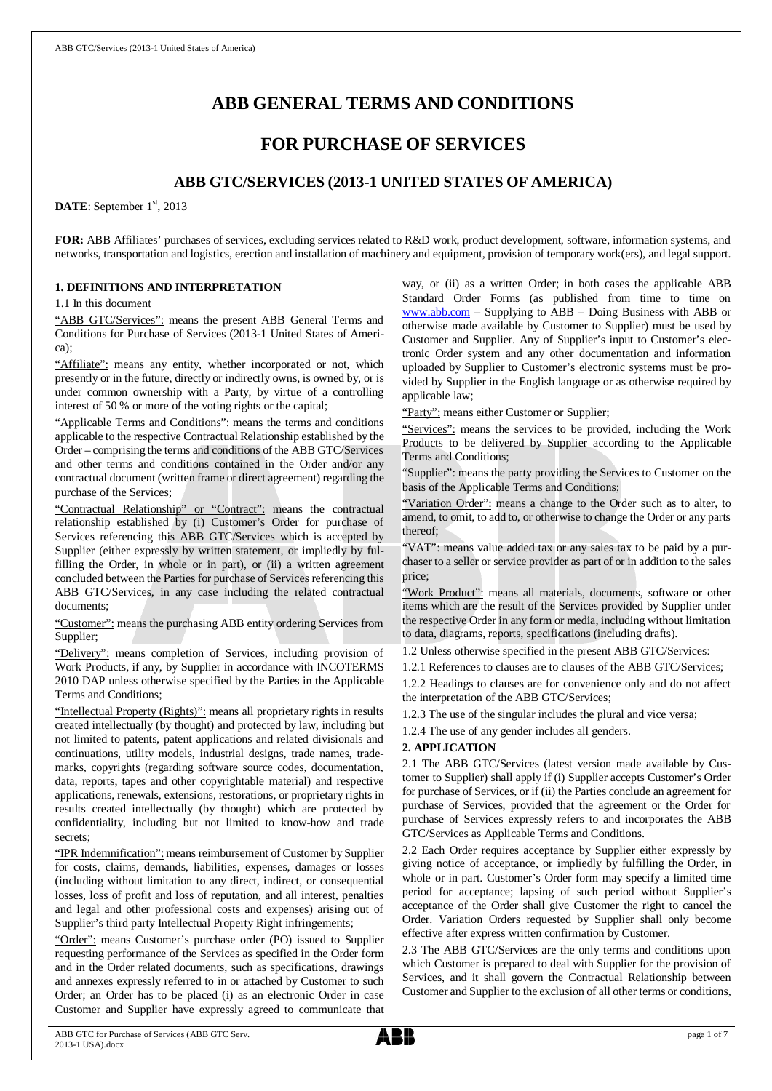# **ABB GENERAL TERMS AND CONDITIONS**

## **FOR PURCHASE OF SERVICES**

## **ABB GTC/SERVICES (2013-1 UNITED STATES OF AMERICA)**

DATE: September 1<sup>st</sup>, 2013

**FOR:** ABB Affiliates' purchases of services, excluding services related to R&D work, product development, software, information systems, and networks, transportation and logistics, erection and installation of machinery and equipment, provision of temporary work(ers), and legal support.

### **1. DEFINITIONS AND INTERPRETATION**

1.1 In this document

"ABB GTC/Services": means the present ABB General Terms and Conditions for Purchase of Services (2013-1 United States of America);

"Affiliate": means any entity, whether incorporated or not, which presently or in the future, directly or indirectly owns, is owned by, or is under common ownership with a Party, by virtue of a controlling interest of 50 % or more of the voting rights or the capital;

"Applicable Terms and Conditions": means the terms and conditions applicable to the respective Contractual Relationship established by the Order – comprising the terms and conditions of the ABB GTC/Services and other terms and conditions contained in the Order and/or any contractual document (written frame or direct agreement) regarding the purchase of the Services;

"Contractual Relationship" or "Contract": means the contractual relationship established by (i) Customer's Order for purchase of Services referencing this ABB GTC/Services which is accepted by Supplier (either expressly by written statement, or impliedly by fulfilling the Order, in whole or in part), or (ii) a written agreement concluded between the Parties for purchase of Services referencing this ABB GTC/Services, in any case including the related contractual documents;

"Customer": means the purchasing ABB entity ordering Services from Supplier;

"Delivery": means completion of Services, including provision of Work Products, if any, by Supplier in accordance with INCOTERMS 2010 DAP unless otherwise specified by the Parties in the Applicable Terms and Conditions;

"Intellectual Property (Rights)": means all proprietary rights in results created intellectually (by thought) and protected by law, including but not limited to patents, patent applications and related divisionals and continuations, utility models, industrial designs, trade names, trademarks, copyrights (regarding software source codes, documentation, data, reports, tapes and other copyrightable material) and respective applications, renewals, extensions, restorations, or proprietary rights in results created intellectually (by thought) which are protected by confidentiality, including but not limited to know-how and trade secrets;

"IPR Indemnification": means reimbursement of Customer by Supplier for costs, claims, demands, liabilities, expenses, damages or losses (including without limitation to any direct, indirect, or consequential losses, loss of profit and loss of reputation, and all interest, penalties and legal and other professional costs and expenses) arising out of Supplier's third party Intellectual Property Right infringements;

"Order": means Customer's purchase order (PO) issued to Supplier requesting performance of the Services as specified in the Order form and in the Order related documents, such as specifications, drawings and annexes expressly referred to in or attached by Customer to such Order; an Order has to be placed (i) as an electronic Order in case Customer and Supplier have expressly agreed to communicate that way, or (ii) as a written Order; in both cases the applicable ABB Standard Order Forms (as published from time to time on [www.abb.com](http://www.abb.com/) – Supplying to ABB – Doing Business with ABB or otherwise made available by Customer to Supplier) must be used by Customer and Supplier. Any of Supplier's input to Customer's electronic Order system and any other documentation and information uploaded by Supplier to Customer's electronic systems must be provided by Supplier in the English language or as otherwise required by applicable law;

"Party": means either Customer or Supplier;

"Services": means the services to be provided, including the Work Products to be delivered by Supplier according to the Applicable Terms and Conditions;

"Supplier": means the party providing the Services to Customer on the basis of the Applicable Terms and Conditions;

"Variation Order": means a change to the Order such as to alter, to amend, to omit, to add to, or otherwise to change the Order or any parts thereof;

"VAT": means value added tax or any sales tax to be paid by a purchaser to a seller or service provider as part of or in addition to the sales price;

"Work Product": means all materials, documents, software or other items which are the result of the Services provided by Supplier under the respective Order in any form or media, including without limitation to data, diagrams, reports, specifications (including drafts).

1.2 Unless otherwise specified in the present ABB GTC/Services:

1.2.1 References to clauses are to clauses of the ABB GTC/Services;

1.2.2 Headings to clauses are for convenience only and do not affect the interpretation of the ABB GTC/Services;

1.2.3 The use of the singular includes the plural and vice versa;

1.2.4 The use of any gender includes all genders.

### **2. APPLICATION**

2.1 The ABB GTC/Services (latest version made available by Customer to Supplier) shall apply if (i) Supplier accepts Customer's Order for purchase of Services, or if (ii) the Parties conclude an agreement for purchase of Services, provided that the agreement or the Order for purchase of Services expressly refers to and incorporates the ABB GTC/Services as Applicable Terms and Conditions.

2.2 Each Order requires acceptance by Supplier either expressly by giving notice of acceptance, or impliedly by fulfilling the Order, in whole or in part. Customer's Order form may specify a limited time period for acceptance; lapsing of such period without Supplier's acceptance of the Order shall give Customer the right to cancel the Order. Variation Orders requested by Supplier shall only become effective after express written confirmation by Customer.

2.3 The ABB GTC/Services are the only terms and conditions upon which Customer is prepared to deal with Supplier for the provision of Services, and it shall govern the Contractual Relationship between Customer and Supplier to the exclusion of all other terms or conditions,

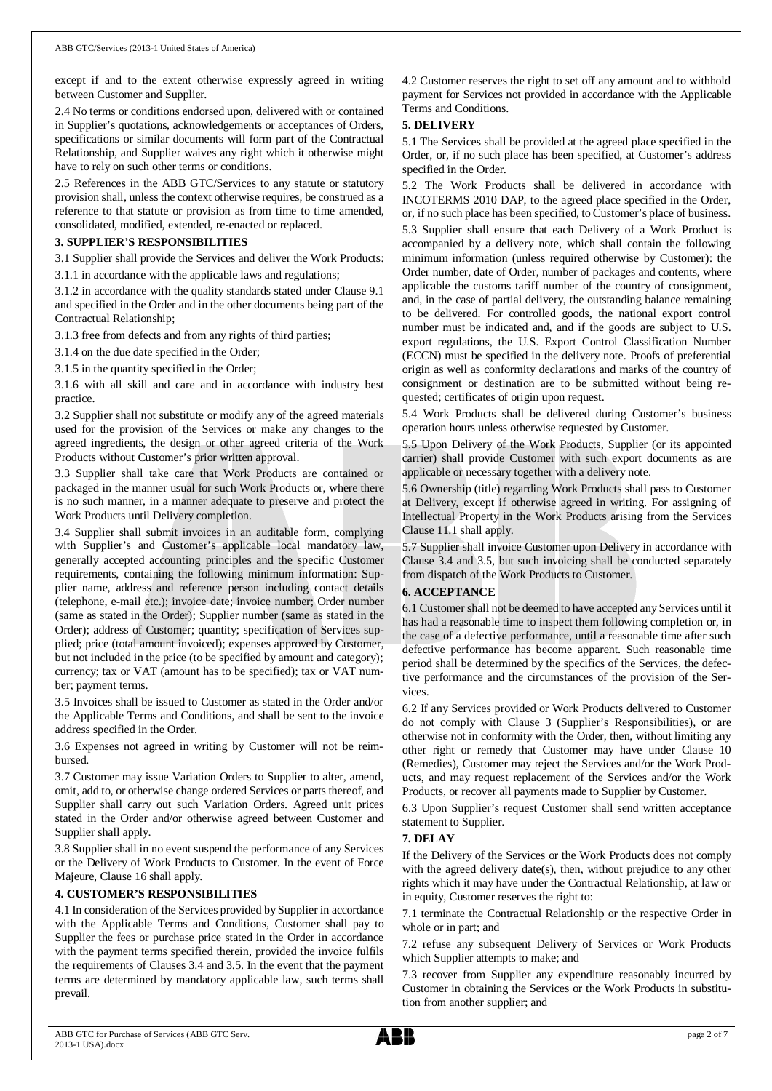except if and to the extent otherwise expressly agreed in writing between Customer and Supplier.

2.4 No terms or conditions endorsed upon, delivered with or contained in Supplier's quotations, acknowledgements or acceptances of Orders, specifications or similar documents will form part of the Contractual Relationship, and Supplier waives any right which it otherwise might have to rely on such other terms or conditions.

2.5 References in the ABB GTC/Services to any statute or statutory provision shall, unless the context otherwise requires, be construed as a reference to that statute or provision as from time to time amended, consolidated, modified, extended, re-enacted or replaced.

### **3. SUPPLIER'S RESPONSIBILITIES**

3.1 Supplier shall provide the Services and deliver the Work Products:

3.1.1 in accordance with the applicable laws and regulations;

3.1.2 in accordance with the quality standards stated under Clause 9.1 and specified in the Order and in the other documents being part of the Contractual Relationship;

3.1.3 free from defects and from any rights of third parties;

3.1.4 on the due date specified in the Order;

3.1.5 in the quantity specified in the Order;

3.1.6 with all skill and care and in accordance with industry best practice.

3.2 Supplier shall not substitute or modify any of the agreed materials used for the provision of the Services or make any changes to the agreed ingredients, the design or other agreed criteria of the Work Products without Customer's prior written approval.

3.3 Supplier shall take care that Work Products are contained or packaged in the manner usual for such Work Products or, where there is no such manner, in a manner adequate to preserve and protect the Work Products until Delivery completion.

3.4 Supplier shall submit invoices in an auditable form, complying with Supplier's and Customer's applicable local mandatory law, generally accepted accounting principles and the specific Customer requirements, containing the following minimum information: Supplier name, address and reference person including contact details (telephone, e-mail etc.); invoice date; invoice number; Order number (same as stated in the Order); Supplier number (same as stated in the Order); address of Customer; quantity; specification of Services supplied; price (total amount invoiced); expenses approved by Customer, but not included in the price (to be specified by amount and category); currency; tax or VAT (amount has to be specified); tax or VAT number; payment terms.

3.5 Invoices shall be issued to Customer as stated in the Order and/or the Applicable Terms and Conditions, and shall be sent to the invoice address specified in the Order.

3.6 Expenses not agreed in writing by Customer will not be reimbursed.

3.7 Customer may issue Variation Orders to Supplier to alter, amend, omit, add to, or otherwise change ordered Services or parts thereof, and Supplier shall carry out such Variation Orders. Agreed unit prices stated in the Order and/or otherwise agreed between Customer and Supplier shall apply.

3.8 Supplier shall in no event suspend the performance of any Services or the Delivery of Work Products to Customer. In the event of Force Majeure, Clause 16 shall apply.

### **4. CUSTOMER'S RESPONSIBILITIES**

4.1 In consideration of the Services provided by Supplier in accordance with the Applicable Terms and Conditions, Customer shall pay to Supplier the fees or purchase price stated in the Order in accordance with the payment terms specified therein, provided the invoice fulfils the requirements of Clauses 3.4 and 3.5. In the event that the payment terms are determined by mandatory applicable law, such terms shall prevail.

4.2 Customer reserves the right to set off any amount and to withhold payment for Services not provided in accordance with the Applicable Terms and Conditions.

### **5. DELIVERY**

5.1 The Services shall be provided at the agreed place specified in the Order, or, if no such place has been specified, at Customer's address specified in the Order.

5.2 The Work Products shall be delivered in accordance with INCOTERMS 2010 DAP, to the agreed place specified in the Order, or, if no such place has been specified, to Customer's place of business. 5.3 Supplier shall ensure that each Delivery of a Work Product is accompanied by a delivery note, which shall contain the following minimum information (unless required otherwise by Customer): the Order number, date of Order, number of packages and contents, where applicable the customs tariff number of the country of consignment, and, in the case of partial delivery, the outstanding balance remaining to be delivered. For controlled goods, the national export control number must be indicated and, and if the goods are subject to U.S. export regulations, the U.S. Export Control Classification Number (ECCN) must be specified in the delivery note. Proofs of preferential origin as well as conformity declarations and marks of the country of consignment or destination are to be submitted without being requested; certificates of origin upon request.

5.4 Work Products shall be delivered during Customer's business operation hours unless otherwise requested by Customer.

5.5 Upon Delivery of the Work Products, Supplier (or its appointed carrier) shall provide Customer with such export documents as are applicable or necessary together with a delivery note.

5.6 Ownership (title) regarding Work Products shall pass to Customer at Delivery, except if otherwise agreed in writing. For assigning of Intellectual Property in the Work Products arising from the Services Clause 11.1 shall apply.

5.7 Supplier shall invoice Customer upon Delivery in accordance with Clause 3.4 and 3.5, but such invoicing shall be conducted separately from dispatch of the Work Products to Customer.

### **6. ACCEPTANCE**

6.1 Customer shall not be deemed to have accepted any Services until it has had a reasonable time to inspect them following completion or, in the case of a defective performance, until a reasonable time after such defective performance has become apparent. Such reasonable time period shall be determined by the specifics of the Services, the defective performance and the circumstances of the provision of the Services.

6.2 If any Services provided or Work Products delivered to Customer do not comply with Clause 3 (Supplier's Responsibilities), or are otherwise not in conformity with the Order, then, without limiting any other right or remedy that Customer may have under Clause 10 (Remedies), Customer may reject the Services and/or the Work Products, and may request replacement of the Services and/or the Work Products, or recover all payments made to Supplier by Customer.

6.3 Upon Supplier's request Customer shall send written acceptance statement to Supplier.

### **7. DELAY**

If the Delivery of the Services or the Work Products does not comply with the agreed delivery date(s), then, without prejudice to any other rights which it may have under the Contractual Relationship, at law or in equity, Customer reserves the right to:

7.1 terminate the Contractual Relationship or the respective Order in whole or in part; and

7.2 refuse any subsequent Delivery of Services or Work Products which Supplier attempts to make; and

7.3 recover from Supplier any expenditure reasonably incurred by Customer in obtaining the Services or the Work Products in substitution from another supplier; and

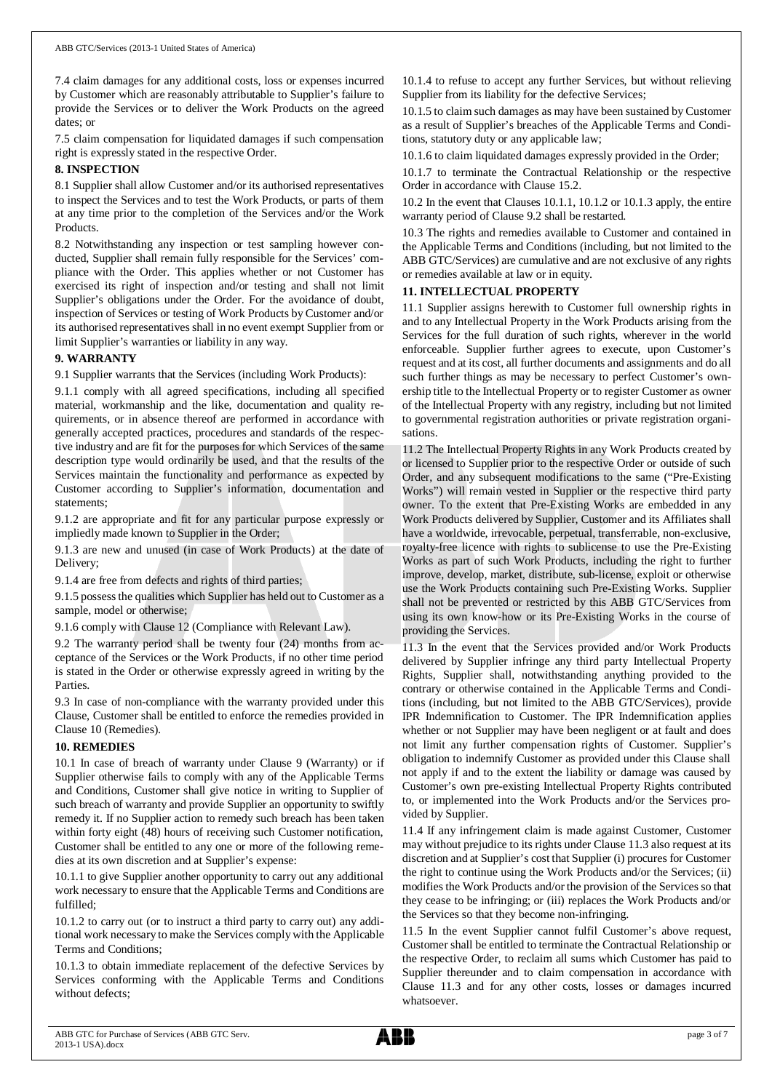7.4 claim damages for any additional costs, loss or expenses incurred by Customer which are reasonably attributable to Supplier's failure to provide the Services or to deliver the Work Products on the agreed dates; or

7.5 claim compensation for liquidated damages if such compensation right is expressly stated in the respective Order.

### **8. INSPECTION**

8.1 Supplier shall allow Customer and/or its authorised representatives to inspect the Services and to test the Work Products, or parts of them at any time prior to the completion of the Services and/or the Work Products.

8.2 Notwithstanding any inspection or test sampling however conducted, Supplier shall remain fully responsible for the Services' compliance with the Order. This applies whether or not Customer has exercised its right of inspection and/or testing and shall not limit Supplier's obligations under the Order. For the avoidance of doubt, inspection of Services or testing of Work Products by Customer and/or its authorised representatives shall in no event exempt Supplier from or limit Supplier's warranties or liability in any way.

### **9. WARRANTY**

9.1 Supplier warrants that the Services (including Work Products):

9.1.1 comply with all agreed specifications, including all specified material, workmanship and the like, documentation and quality requirements, or in absence thereof are performed in accordance with generally accepted practices, procedures and standards of the respective industry and are fit for the purposes for which Services of the same description type would ordinarily be used, and that the results of the Services maintain the functionality and performance as expected by Customer according to Supplier's information, documentation and statements;

9.1.2 are appropriate and fit for any particular purpose expressly or impliedly made known to Supplier in the Order;

9.1.3 are new and unused (in case of Work Products) at the date of Delivery;

9.1.4 are free from defects and rights of third parties;

9.1.5 possess the qualities which Supplier has held out to Customer as a sample, model or otherwise;

9.1.6 comply with Clause 12 (Compliance with Relevant Law).

9.2 The warranty period shall be twenty four (24) months from acceptance of the Services or the Work Products, if no other time period is stated in the Order or otherwise expressly agreed in writing by the Parties.

9.3 In case of non-compliance with the warranty provided under this Clause, Customer shall be entitled to enforce the remedies provided in Clause 10 (Remedies).

### **10. REMEDIES**

10.1 In case of breach of warranty under Clause 9 (Warranty) or if Supplier otherwise fails to comply with any of the Applicable Terms and Conditions, Customer shall give notice in writing to Supplier of such breach of warranty and provide Supplier an opportunity to swiftly remedy it. If no Supplier action to remedy such breach has been taken within forty eight (48) hours of receiving such Customer notification, Customer shall be entitled to any one or more of the following remedies at its own discretion and at Supplier's expense:

10.1.1 to give Supplier another opportunity to carry out any additional work necessary to ensure that the Applicable Terms and Conditions are fulfilled;

10.1.2 to carry out (or to instruct a third party to carry out) any additional work necessary to make the Services comply with the Applicable Terms and Conditions;

10.1.3 to obtain immediate replacement of the defective Services by Services conforming with the Applicable Terms and Conditions without defects;

10.1.4 to refuse to accept any further Services, but without relieving Supplier from its liability for the defective Services;

10.1.5 to claim such damages as may have been sustained by Customer as a result of Supplier's breaches of the Applicable Terms and Conditions, statutory duty or any applicable law;

10.1.6 to claim liquidated damages expressly provided in the Order;

10.1.7 to terminate the Contractual Relationship or the respective Order in accordance with Clause 15.2.

10.2 In the event that Clauses 10.1.1, 10.1.2 or 10.1.3 apply, the entire warranty period of Clause 9.2 shall be restarted.

10.3 The rights and remedies available to Customer and contained in the Applicable Terms and Conditions (including, but not limited to the ABB GTC/Services) are cumulative and are not exclusive of any rights or remedies available at law or in equity.

### **11. INTELLECTUAL PROPERTY**

11.1 Supplier assigns herewith to Customer full ownership rights in and to any Intellectual Property in the Work Products arising from the Services for the full duration of such rights, wherever in the world enforceable. Supplier further agrees to execute, upon Customer's request and at its cost, all further documents and assignments and do all such further things as may be necessary to perfect Customer's ownership title to the Intellectual Property or to register Customer as owner of the Intellectual Property with any registry, including but not limited to governmental registration authorities or private registration organisations.

11.2 The Intellectual Property Rights in any Work Products created by or licensed to Supplier prior to the respective Order or outside of such Order, and any subsequent modifications to the same ("Pre-Existing Works") will remain vested in Supplier or the respective third party owner. To the extent that Pre-Existing Works are embedded in any Work Products delivered by Supplier, Customer and its Affiliates shall have a worldwide, irrevocable, perpetual, transferrable, non-exclusive, royalty-free licence with rights to sublicense to use the Pre-Existing Works as part of such Work Products, including the right to further improve, develop, market, distribute, sub-license, exploit or otherwise use the Work Products containing such Pre-Existing Works. Supplier shall not be prevented or restricted by this ABB GTC/Services from using its own know-how or its Pre-Existing Works in the course of providing the Services.

11.3 In the event that the Services provided and/or Work Products delivered by Supplier infringe any third party Intellectual Property Rights, Supplier shall, notwithstanding anything provided to the contrary or otherwise contained in the Applicable Terms and Conditions (including, but not limited to the ABB GTC/Services), provide IPR Indemnification to Customer. The IPR Indemnification applies whether or not Supplier may have been negligent or at fault and does not limit any further compensation rights of Customer. Supplier's obligation to indemnify Customer as provided under this Clause shall not apply if and to the extent the liability or damage was caused by Customer's own pre-existing Intellectual Property Rights contributed to, or implemented into the Work Products and/or the Services provided by Supplier.

11.4 If any infringement claim is made against Customer, Customer may without prejudice to its rights under Clause 11.3 also request at its discretion and at Supplier's cost that Supplier (i) procures for Customer the right to continue using the Work Products and/or the Services; (ii) modifies the Work Products and/or the provision of the Services so that they cease to be infringing; or (iii) replaces the Work Products and/or the Services so that they become non-infringing.

11.5 In the event Supplier cannot fulfil Customer's above request, Customer shall be entitled to terminate the Contractual Relationship or the respective Order, to reclaim all sums which Customer has paid to Supplier thereunder and to claim compensation in accordance with Clause 11.3 and for any other costs, losses or damages incurred whatsoever.

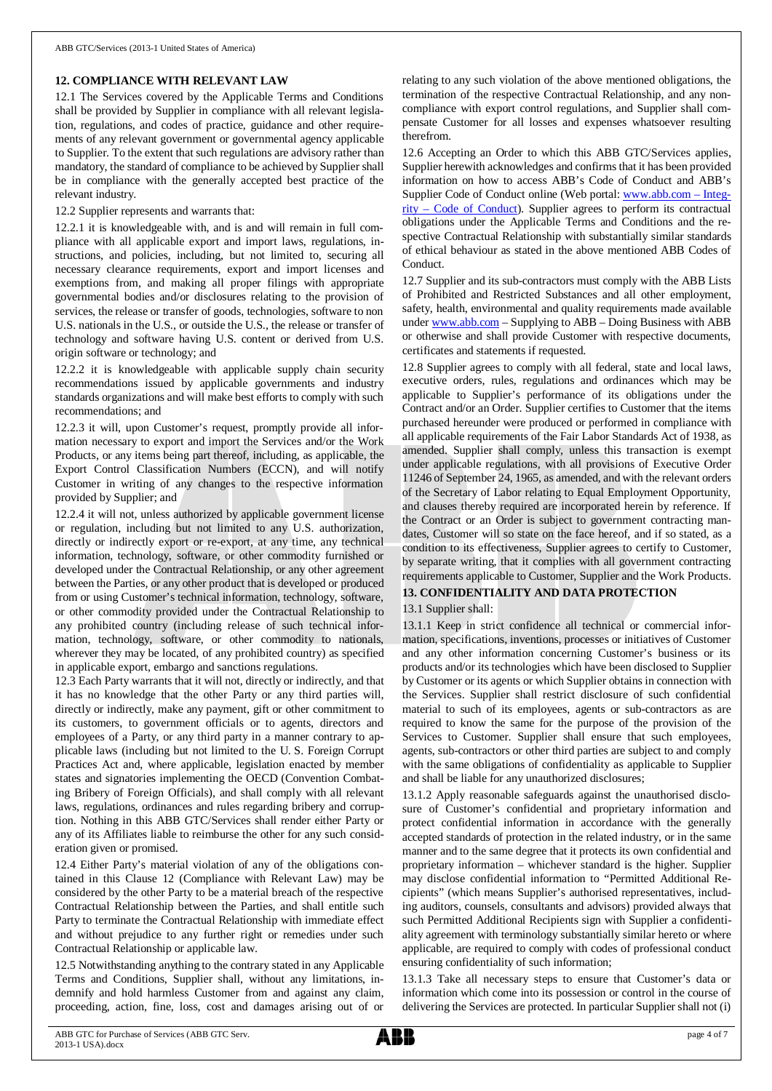### **12. COMPLIANCE WITH RELEVANT LAW**

12.1 The Services covered by the Applicable Terms and Conditions shall be provided by Supplier in compliance with all relevant legislation, regulations, and codes of practice, guidance and other requirements of any relevant government or governmental agency applicable to Supplier. To the extent that such regulations are advisory rather than mandatory, the standard of compliance to be achieved by Supplier shall be in compliance with the generally accepted best practice of the relevant industry.

12.2 Supplier represents and warrants that:

12.2.1 it is knowledgeable with, and is and will remain in full compliance with all applicable export and import laws, regulations, instructions, and policies, including, but not limited to, securing all necessary clearance requirements, export and import licenses and exemptions from, and making all proper filings with appropriate governmental bodies and/or disclosures relating to the provision of services, the release or transfer of goods, technologies, software to non U.S. nationals in the U.S., or outside the U.S., the release or transfer of technology and software having U.S. content or derived from U.S. origin software or technology; and

12.2.2 it is knowledgeable with applicable supply chain security recommendations issued by applicable governments and industry standards organizations and will make best efforts to comply with such recommendations; and

12.2.3 it will, upon Customer's request, promptly provide all information necessary to export and import the Services and/or the Work Products, or any items being part thereof, including, as applicable, the Export Control Classification Numbers (ECCN), and will notify Customer in writing of any changes to the respective information provided by Supplier; and

12.2.4 it will not, unless authorized by applicable government license or regulation, including but not limited to any U.S. authorization, directly or indirectly export or re-export, at any time, any technical information, technology, software, or other commodity furnished or developed under the Contractual Relationship, or any other agreement between the Parties, or any other product that is developed or produced from or using Customer's technical information, technology, software, or other commodity provided under the Contractual Relationship to any prohibited country (including release of such technical information, technology, software, or other commodity to nationals, wherever they may be located, of any prohibited country) as specified in applicable export, embargo and sanctions regulations.

12.3 Each Party warrants that it will not, directly or indirectly, and that it has no knowledge that the other Party or any third parties will, directly or indirectly, make any payment, gift or other commitment to its customers, to government officials or to agents, directors and employees of a Party, or any third party in a manner contrary to applicable laws (including but not limited to the U. S. Foreign Corrupt Practices Act and, where applicable, legislation enacted by member states and signatories implementing the OECD (Convention Combating Bribery of Foreign Officials), and shall comply with all relevant laws, regulations, ordinances and rules regarding bribery and corruption. Nothing in this ABB GTC/Services shall render either Party or any of its Affiliates liable to reimburse the other for any such consideration given or promised.

12.4 Either Party's material violation of any of the obligations contained in this Clause 12 (Compliance with Relevant Law) may be considered by the other Party to be a material breach of the respective Contractual Relationship between the Parties, and shall entitle such Party to terminate the Contractual Relationship with immediate effect and without prejudice to any further right or remedies under such Contractual Relationship or applicable law.

12.5 Notwithstanding anything to the contrary stated in any Applicable Terms and Conditions, Supplier shall, without any limitations, indemnify and hold harmless Customer from and against any claim, proceeding, action, fine, loss, cost and damages arising out of or

relating to any such violation of the above mentioned obligations, the termination of the respective Contractual Relationship, and any noncompliance with export control regulations, and Supplier shall compensate Customer for all losses and expenses whatsoever resulting therefrom.

12.6 Accepting an Order to which this ABB GTC/Services applies, Supplier herewith acknowledges and confirms that it has been provided information on how to access ABB's Code of Conduct and ABB's Supplier Code of Conduct online (Web portal: [www.abb.com](http://www.abb.com/) – Integrity – Code of Conduct). Supplier agrees to perform its contractual obligations under the Applicable Terms and Conditions and the respective Contractual Relationship with substantially similar standards of ethical behaviour as stated in the above mentioned ABB Codes of Conduct.

12.7 Supplier and its sub-contractors must comply with the ABB Lists of Prohibited and Restricted Substances and all other employment, safety, health, environmental and quality requirements made available under [www.abb.com](http://www.abb.com/) – Supplying to ABB – Doing Business with ABB or otherwise and shall provide Customer with respective documents, certificates and statements if requested.

12.8 Supplier agrees to comply with all federal, state and local laws, executive orders, rules, regulations and ordinances which may be applicable to Supplier's performance of its obligations under the Contract and/or an Order. Supplier certifies to Customer that the items purchased hereunder were produced or performed in compliance with all applicable requirements of the Fair Labor Standards Act of 1938, as amended. Supplier shall comply, unless this transaction is exempt under applicable regulations, with all provisions of Executive Order 11246 of September 24, 1965, as amended, and with the relevant orders of the Secretary of Labor relating to Equal Employment Opportunity, and clauses thereby required are incorporated herein by reference. If the Contract or an Order is subject to government contracting mandates, Customer will so state on the face hereof, and if so stated, as a condition to its effectiveness, Supplier agrees to certify to Customer, by separate writing, that it complies with all government contracting requirements applicable to Customer, Supplier and the Work Products. **13. CONFIDENTIALITY AND DATA PROTECTION**

13.1 Supplier shall:

13.1.1 Keep in strict confidence all technical or commercial information, specifications, inventions, processes or initiatives of Customer and any other information concerning Customer's business or its products and/or its technologies which have been disclosed to Supplier by Customer or its agents or which Supplier obtains in connection with the Services. Supplier shall restrict disclosure of such confidential material to such of its employees, agents or sub-contractors as are required to know the same for the purpose of the provision of the Services to Customer. Supplier shall ensure that such employees, agents, sub-contractors or other third parties are subject to and comply with the same obligations of confidentiality as applicable to Supplier and shall be liable for any unauthorized disclosures;

13.1.2 Apply reasonable safeguards against the unauthorised disclosure of Customer's confidential and proprietary information and protect confidential information in accordance with the generally accepted standards of protection in the related industry, or in the same manner and to the same degree that it protects its own confidential and proprietary information – whichever standard is the higher. Supplier may disclose confidential information to "Permitted Additional Recipients" (which means Supplier's authorised representatives, including auditors, counsels, consultants and advisors) provided always that such Permitted Additional Recipients sign with Supplier a confidentiality agreement with terminology substantially similar hereto or where applicable, are required to comply with codes of professional conduct ensuring confidentiality of such information;

13.1.3 Take all necessary steps to ensure that Customer's data or information which come into its possession or control in the course of delivering the Services are protected. In particular Supplier shall not (i)

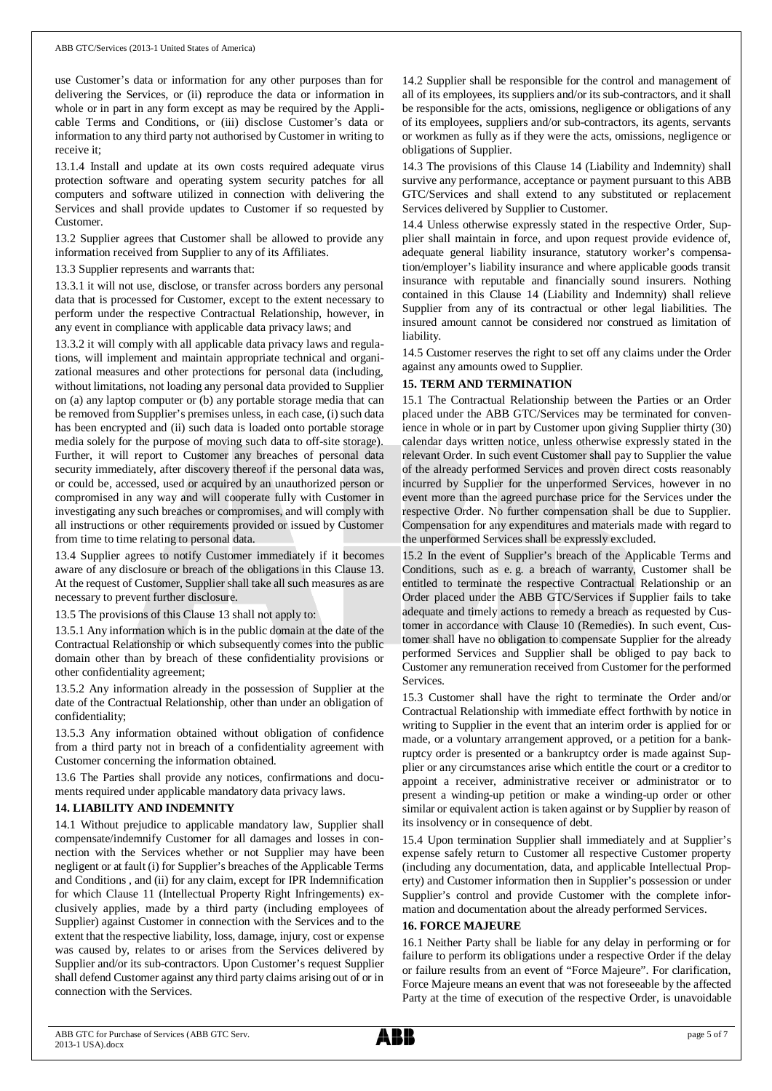use Customer's data or information for any other purposes than for delivering the Services, or (ii) reproduce the data or information in whole or in part in any form except as may be required by the Applicable Terms and Conditions, or (iii) disclose Customer's data or information to any third party not authorised by Customer in writing to receive it;

13.1.4 Install and update at its own costs required adequate virus protection software and operating system security patches for all computers and software utilized in connection with delivering the Services and shall provide updates to Customer if so requested by Customer.

13.2 Supplier agrees that Customer shall be allowed to provide any information received from Supplier to any of its Affiliates.

13.3 Supplier represents and warrants that:

13.3.1 it will not use, disclose, or transfer across borders any personal data that is processed for Customer, except to the extent necessary to perform under the respective Contractual Relationship, however, in any event in compliance with applicable data privacy laws; and

13.3.2 it will comply with all applicable data privacy laws and regulations, will implement and maintain appropriate technical and organizational measures and other protections for personal data (including, without limitations, not loading any personal data provided to Supplier on (a) any laptop computer or (b) any portable storage media that can be removed from Supplier's premises unless, in each case, (i) such data has been encrypted and (ii) such data is loaded onto portable storage media solely for the purpose of moving such data to off-site storage). Further, it will report to Customer any breaches of personal data security immediately, after discovery thereof if the personal data was, or could be, accessed, used or acquired by an unauthorized person or compromised in any way and will cooperate fully with Customer in investigating any such breaches or compromises, and will comply with all instructions or other requirements provided or issued by Customer from time to time relating to personal data.

13.4 Supplier agrees to notify Customer immediately if it becomes aware of any disclosure or breach of the obligations in this Clause 13. At the request of Customer, Supplier shall take all such measures as are necessary to prevent further disclosure.

13.5 The provisions of this Clause 13 shall not apply to:

13.5.1 Any information which is in the public domain at the date of the Contractual Relationship or which subsequently comes into the public domain other than by breach of these confidentiality provisions or other confidentiality agreement;

13.5.2 Any information already in the possession of Supplier at the date of the Contractual Relationship, other than under an obligation of confidentiality;

13.5.3 Any information obtained without obligation of confidence from a third party not in breach of a confidentiality agreement with Customer concerning the information obtained.

13.6 The Parties shall provide any notices, confirmations and documents required under applicable mandatory data privacy laws.

### **14. LIABILITY AND INDEMNITY**

14.1 Without prejudice to applicable mandatory law, Supplier shall compensate/indemnify Customer for all damages and losses in connection with the Services whether or not Supplier may have been negligent or at fault (i) for Supplier's breaches of the Applicable Terms and Conditions , and (ii) for any claim, except for IPR Indemnification for which Clause 11 (Intellectual Property Right Infringements) exclusively applies, made by a third party (including employees of Supplier) against Customer in connection with the Services and to the extent that the respective liability, loss, damage, injury, cost or expense was caused by, relates to or arises from the Services delivered by Supplier and/or its sub-contractors. Upon Customer's request Supplier shall defend Customer against any third party claims arising out of or in connection with the Services.

14.2 Supplier shall be responsible for the control and management of all of its employees, its suppliers and/or its sub-contractors, and it shall be responsible for the acts, omissions, negligence or obligations of any of its employees, suppliers and/or sub-contractors, its agents, servants or workmen as fully as if they were the acts, omissions, negligence or obligations of Supplier.

14.3 The provisions of this Clause 14 (Liability and Indemnity) shall survive any performance, acceptance or payment pursuant to this ABB GTC/Services and shall extend to any substituted or replacement Services delivered by Supplier to Customer.

14.4 Unless otherwise expressly stated in the respective Order, Supplier shall maintain in force, and upon request provide evidence of, adequate general liability insurance, statutory worker's compensation/employer's liability insurance and where applicable goods transit insurance with reputable and financially sound insurers. Nothing contained in this Clause 14 (Liability and Indemnity) shall relieve Supplier from any of its contractual or other legal liabilities. The insured amount cannot be considered nor construed as limitation of liability.

14.5 Customer reserves the right to set off any claims under the Order against any amounts owed to Supplier.

### **15. TERM AND TERMINATION**

15.1 The Contractual Relationship between the Parties or an Order placed under the ABB GTC/Services may be terminated for convenience in whole or in part by Customer upon giving Supplier thirty (30) calendar days written notice, unless otherwise expressly stated in the relevant Order. In such event Customer shall pay to Supplier the value of the already performed Services and proven direct costs reasonably incurred by Supplier for the unperformed Services, however in no event more than the agreed purchase price for the Services under the respective Order. No further compensation shall be due to Supplier. Compensation for any expenditures and materials made with regard to the unperformed Services shall be expressly excluded.

15.2 In the event of Supplier's breach of the Applicable Terms and Conditions, such as e. g. a breach of warranty, Customer shall be entitled to terminate the respective Contractual Relationship or an Order placed under the ABB GTC/Services if Supplier fails to take adequate and timely actions to remedy a breach as requested by Customer in accordance with Clause 10 (Remedies). In such event, Customer shall have no obligation to compensate Supplier for the already performed Services and Supplier shall be obliged to pay back to Customer any remuneration received from Customer for the performed Services.

15.3 Customer shall have the right to terminate the Order and/or Contractual Relationship with immediate effect forthwith by notice in writing to Supplier in the event that an interim order is applied for or made, or a voluntary arrangement approved, or a petition for a bankruptcy order is presented or a bankruptcy order is made against Supplier or any circumstances arise which entitle the court or a creditor to appoint a receiver, administrative receiver or administrator or to present a winding-up petition or make a winding-up order or other similar or equivalent action is taken against or by Supplier by reason of its insolvency or in consequence of debt.

15.4 Upon termination Supplier shall immediately and at Supplier's expense safely return to Customer all respective Customer property (including any documentation, data, and applicable Intellectual Property) and Customer information then in Supplier's possession or under Supplier's control and provide Customer with the complete information and documentation about the already performed Services.

### **16. FORCE MAJEURE**

16.1 Neither Party shall be liable for any delay in performing or for failure to perform its obligations under a respective Order if the delay or failure results from an event of "Force Majeure". For clarification, Force Majeure means an event that was not foreseeable by the affected Party at the time of execution of the respective Order, is unavoidable

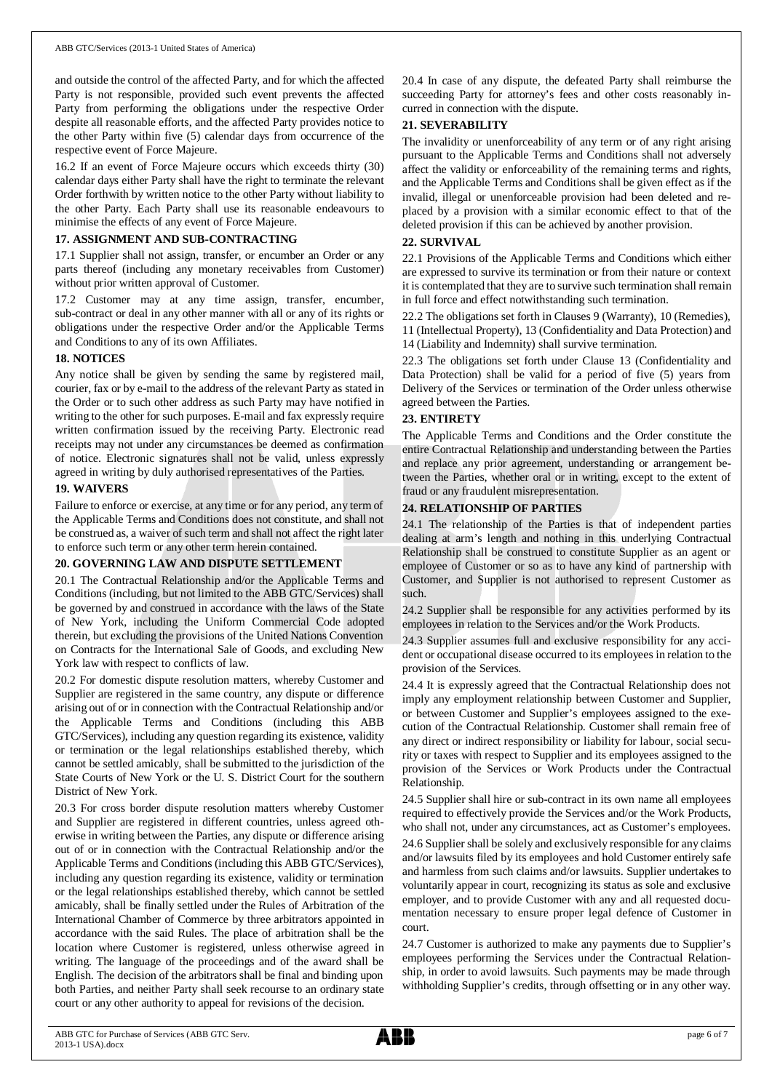and outside the control of the affected Party, and for which the affected Party is not responsible, provided such event prevents the affected Party from performing the obligations under the respective Order despite all reasonable efforts, and the affected Party provides notice to the other Party within five (5) calendar days from occurrence of the respective event of Force Majeure.

16.2 If an event of Force Majeure occurs which exceeds thirty (30) calendar days either Party shall have the right to terminate the relevant Order forthwith by written notice to the other Party without liability to the other Party. Each Party shall use its reasonable endeavours to minimise the effects of any event of Force Majeure.

### **17. ASSIGNMENT AND SUB-CONTRACTING**

17.1 Supplier shall not assign, transfer, or encumber an Order or any parts thereof (including any monetary receivables from Customer) without prior written approval of Customer.

17.2 Customer may at any time assign, transfer, encumber, sub-contract or deal in any other manner with all or any of its rights or obligations under the respective Order and/or the Applicable Terms and Conditions to any of its own Affiliates.

### **18. NOTICES**

Any notice shall be given by sending the same by registered mail, courier, fax or by e-mail to the address of the relevant Party as stated in the Order or to such other address as such Party may have notified in writing to the other for such purposes. E-mail and fax expressly require written confirmation issued by the receiving Party. Electronic read receipts may not under any circumstances be deemed as confirmation of notice. Electronic signatures shall not be valid, unless expressly agreed in writing by duly authorised representatives of the Parties.

### **19. WAIVERS**

Failure to enforce or exercise, at any time or for any period, any term of the Applicable Terms and Conditions does not constitute, and shall not be construed as, a waiver of such term and shall not affect the right later to enforce such term or any other term herein contained.

### **20. GOVERNING LAW AND DISPUTE SETTLEMENT**

20.1 The Contractual Relationship and/or the Applicable Terms and Conditions (including, but not limited to the ABB GTC/Services) shall be governed by and construed in accordance with the laws of the State of New York, including the Uniform Commercial Code adopted therein, but excluding the provisions of the United Nations Convention on Contracts for the International Sale of Goods, and excluding New York law with respect to conflicts of law.

20.2 For domestic dispute resolution matters, whereby Customer and Supplier are registered in the same country, any dispute or difference arising out of or in connection with the Contractual Relationship and/or the Applicable Terms and Conditions (including this ABB GTC/Services), including any question regarding its existence, validity or termination or the legal relationships established thereby, which cannot be settled amicably, shall be submitted to the jurisdiction of the State Courts of New York or the U. S. District Court for the southern District of New York.

20.3 For cross border dispute resolution matters whereby Customer and Supplier are registered in different countries, unless agreed otherwise in writing between the Parties, any dispute or difference arising out of or in connection with the Contractual Relationship and/or the Applicable Terms and Conditions (including this ABB GTC/Services), including any question regarding its existence, validity or termination or the legal relationships established thereby, which cannot be settled amicably, shall be finally settled under the Rules of Arbitration of the International Chamber of Commerce by three arbitrators appointed in accordance with the said Rules. The place of arbitration shall be the location where Customer is registered, unless otherwise agreed in writing. The language of the proceedings and of the award shall be English. The decision of the arbitrators shall be final and binding upon both Parties, and neither Party shall seek recourse to an ordinary state court or any other authority to appeal for revisions of the decision.

20.4 In case of any dispute, the defeated Party shall reimburse the succeeding Party for attorney's fees and other costs reasonably incurred in connection with the dispute.

### **21. SEVERABILITY**

The invalidity or unenforceability of any term or of any right arising pursuant to the Applicable Terms and Conditions shall not adversely affect the validity or enforceability of the remaining terms and rights, and the Applicable Terms and Conditions shall be given effect as if the invalid, illegal or unenforceable provision had been deleted and replaced by a provision with a similar economic effect to that of the deleted provision if this can be achieved by another provision.

### **22. SURVIVAL**

22.1 Provisions of the Applicable Terms and Conditions which either are expressed to survive its termination or from their nature or context it is contemplated that they are to survive such termination shall remain in full force and effect notwithstanding such termination.

22.2 The obligations set forth in Clauses 9 (Warranty), 10 (Remedies), 11 (Intellectual Property), 13 (Confidentiality and Data Protection) and 14 (Liability and Indemnity) shall survive termination.

22.3 The obligations set forth under Clause 13 (Confidentiality and Data Protection) shall be valid for a period of five (5) years from Delivery of the Services or termination of the Order unless otherwise agreed between the Parties.

### **23. ENTIRETY**

The Applicable Terms and Conditions and the Order constitute the entire Contractual Relationship and understanding between the Parties and replace any prior agreement, understanding or arrangement between the Parties, whether oral or in writing, except to the extent of fraud or any fraudulent misrepresentation.

### **24. RELATIONSHIP OF PARTIES**

24.1 The relationship of the Parties is that of independent parties dealing at arm's length and nothing in this underlying Contractual Relationship shall be construed to constitute Supplier as an agent or employee of Customer or so as to have any kind of partnership with Customer, and Supplier is not authorised to represent Customer as such.

24.2 Supplier shall be responsible for any activities performed by its employees in relation to the Services and/or the Work Products.

24.3 Supplier assumes full and exclusive responsibility for any accident or occupational disease occurred to its employees in relation to the provision of the Services.

24.4 It is expressly agreed that the Contractual Relationship does not imply any employment relationship between Customer and Supplier, or between Customer and Supplier's employees assigned to the execution of the Contractual Relationship. Customer shall remain free of any direct or indirect responsibility or liability for labour, social security or taxes with respect to Supplier and its employees assigned to the provision of the Services or Work Products under the Contractual Relationship.

24.5 Supplier shall hire or sub-contract in its own name all employees required to effectively provide the Services and/or the Work Products, who shall not, under any circumstances, act as Customer's employees.

24.6 Supplier shall be solely and exclusively responsible for any claims and/or lawsuits filed by its employees and hold Customer entirely safe and harmless from such claims and/or lawsuits. Supplier undertakes to voluntarily appear in court, recognizing its status as sole and exclusive employer, and to provide Customer with any and all requested documentation necessary to ensure proper legal defence of Customer in court.

24.7 Customer is authorized to make any payments due to Supplier's employees performing the Services under the Contractual Relationship, in order to avoid lawsuits. Such payments may be made through withholding Supplier's credits, through offsetting or in any other way.